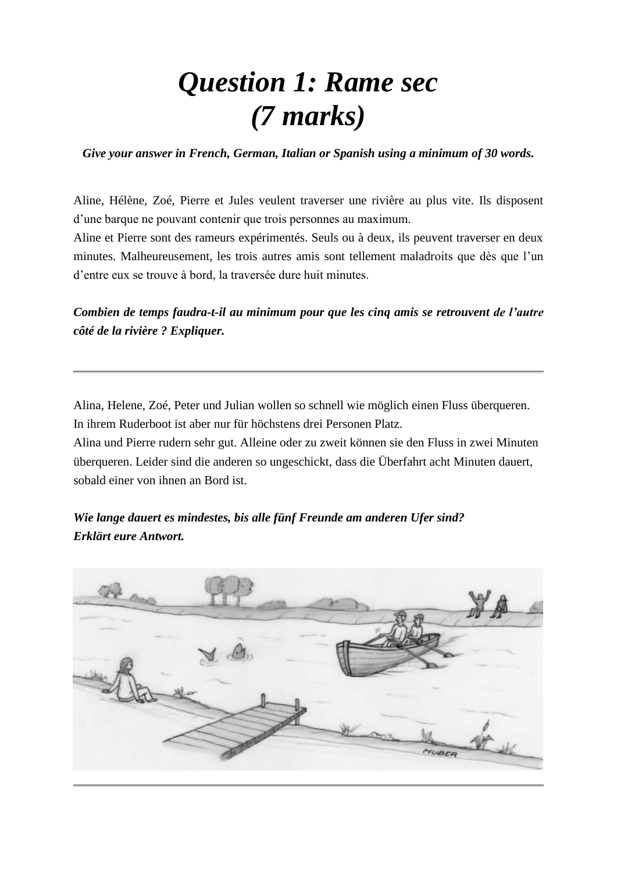### *Question 1: Rame sec (7 marks)*

*Give your answer in French, German, Italian or Spanish using a minimum of 30 words.*

Aline, Hélène, Zoé, Pierre et Jules veulent traverser une rivière au plus vite. Ils disposent d'une barque ne pouvant contenir que trois personnes au maximum.

Aline et Pierre sont des rameurs expérimentés. Seuls ou à deux, ils peuvent traverser en deux minutes. Malheureusement, les trois autres amis sont tellement maladroits que dès que l'un d'entre eux se trouve à bord, la traversée dure huit minutes.

*Combien de temps faudra-t-il au minimum pour que les cinq amis se retrouvent de l'autre côté de la rivière ? Expliquer.*

Alina, Helene, Zoé, Peter und Julian wollen so schnell wie möglich einen Fluss überqueren. In ihrem Ruderboot ist aber nur für höchstens drei Personen Platz.

Alina und Pierre rudern sehr gut. Alleine oder zu zweit können sie den Fluss in zwei Minuten überqueren. Leider sind die anderen so ungeschickt, dass die Überfahrt acht Minuten dauert, sobald einer von ihnen an Bord ist.

*Wie lange dauert es mindestes, bis alle fünf Freunde am anderen Ufer sind? Erklärt eure Antwort.*

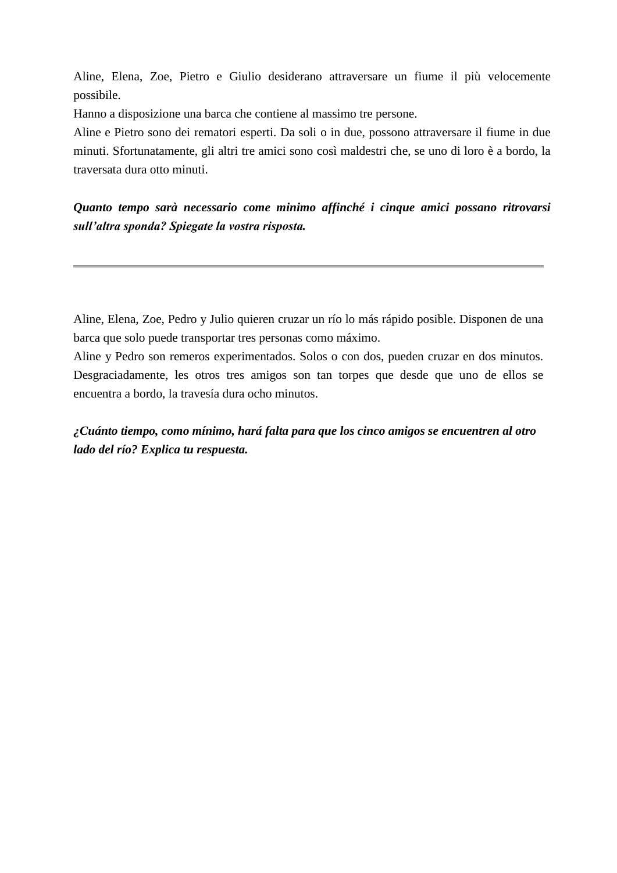Aline, Elena, Zoe, Pietro e Giulio desiderano attraversare un fiume il più velocemente possibile.

Hanno a disposizione una barca che contiene al massimo tre persone.

Aline e Pietro sono dei rematori esperti. Da soli o in due, possono attraversare il fiume in due minuti. Sfortunatamente, gli altri tre amici sono così maldestri che, se uno di loro è a bordo, la traversata dura otto minuti.

*Quanto tempo sarà necessario come minimo affinché i cinque amici possano ritrovarsi sull'altra sponda? Spiegate la vostra risposta.*

Aline, Elena, Zoe, Pedro y Julio quieren cruzar un río lo más rápido posible. Disponen de una barca que solo puede transportar tres personas como máximo.

Aline y Pedro son remeros experimentados. Solos o con dos, pueden cruzar en dos minutos. Desgraciadamente, les otros tres amigos son tan torpes que desde que uno de ellos se encuentra a bordo, la travesía dura ocho minutos.

*¿Cuánto tiempo, como mínimo, hará falta para que los cinco amigos se encuentren al otro lado del río? Explica tu respuesta.*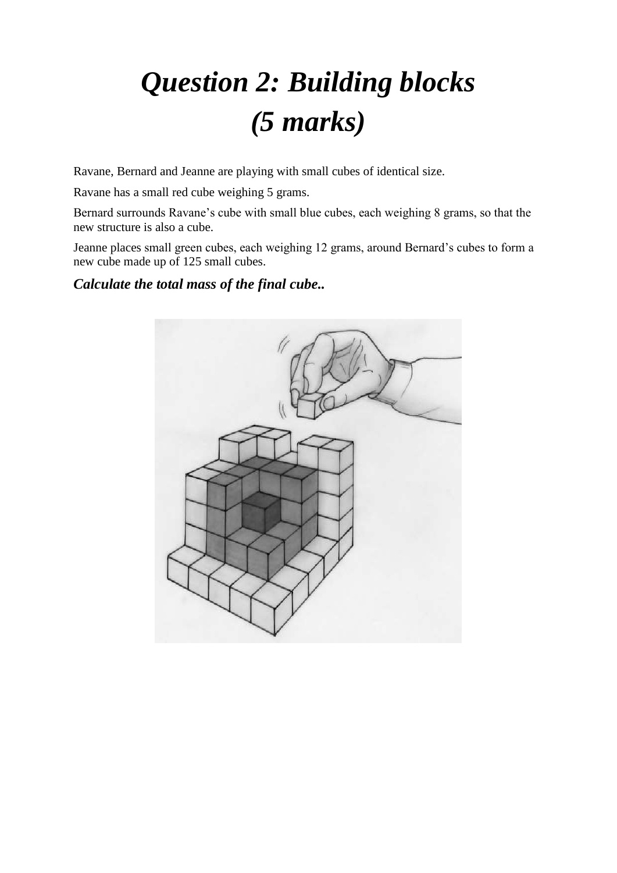# *Question 2: Building blocks (5 marks)*

Ravane, Bernard and Jeanne are playing with small cubes of identical size.

Ravane has a small red cube weighing 5 grams.

Bernard surrounds Ravane's cube with small blue cubes, each weighing 8 grams, so that the new structure is also a cube.

Jeanne places small green cubes, each weighing 12 grams, around Bernard's cubes to form a new cube made up of 125 small cubes.

*Calculate the total mass of the final cube..* 

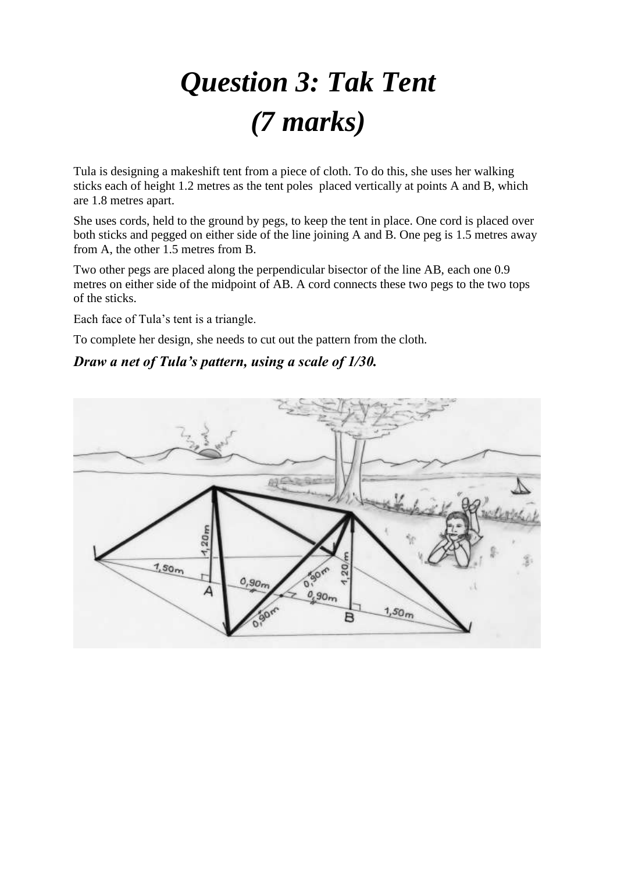# *Question 3: Tak Tent (7 marks)*

Tula is designing a makeshift tent from a piece of cloth. To do this, she uses her walking sticks each of height 1.2 metres as the tent poles placed vertically at points A and B, which are 1.8 metres apart.

She uses cords, held to the ground by pegs, to keep the tent in place. One cord is placed over both sticks and pegged on either side of the line joining A and B. One peg is 1.5 metres away from A, the other 1.5 metres from B.

Two other pegs are placed along the perpendicular bisector of the line AB, each one 0.9 metres on either side of the midpoint of AB. A cord connects these two pegs to the two tops of the sticks.

Each face of Tula's tent is a triangle.

To complete her design, she needs to cut out the pattern from the cloth.

#### *Draw a net of Tula's pattern, using a scale of 1/30.*

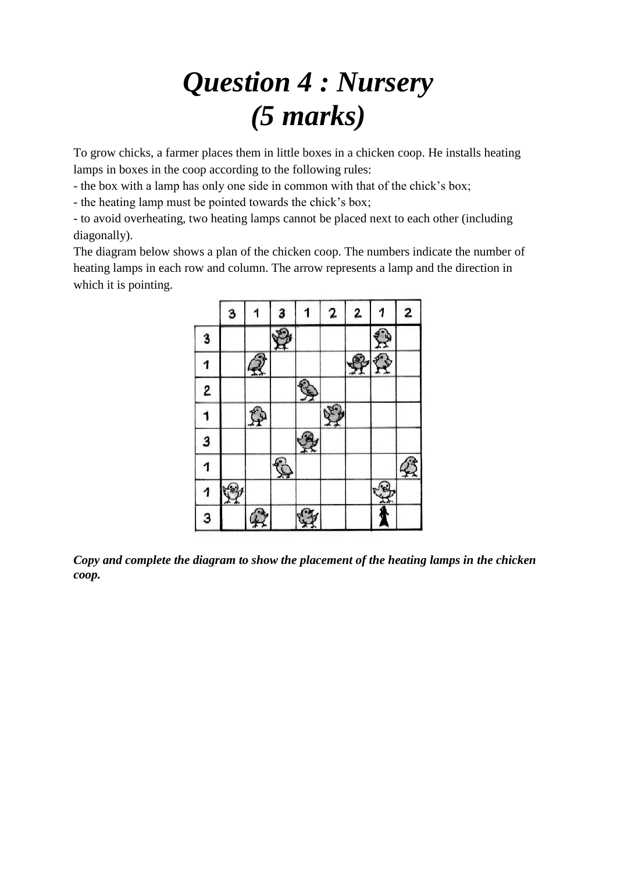### *Question 4 : Nursery (5 marks)*

To grow chicks, a farmer places them in little boxes in a chicken coop. He installs heating lamps in boxes in the coop according to the following rules:

- the box with a lamp has only one side in common with that of the chick's box;

- the heating lamp must be pointed towards the chick's box;

- to avoid overheating, two heating lamps cannot be placed next to each other (including diagonally).

The diagram below shows a plan of the chicken coop. The numbers indicate the number of heating lamps in each row and column. The arrow represents a lamp and the direction in which it is pointing.



*Copy and complete the diagram to show the placement of the heating lamps in the chicken coop.*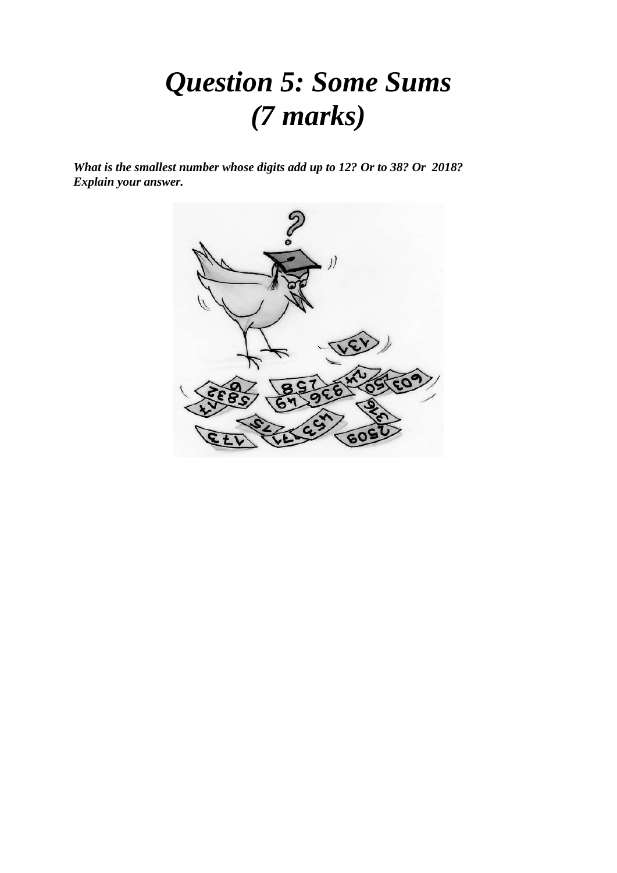### *Question 5: Some Sums (7 marks)*

*What is the smallest number whose digits add up to 12? Or to 38? Or 2018? Explain your answer.* 

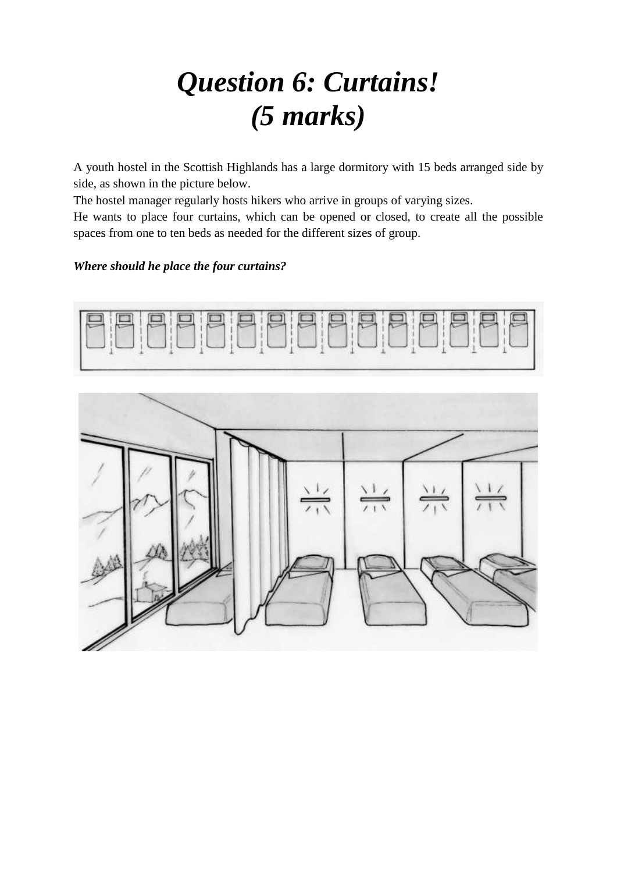### *Question 6: Curtains! (5 marks)*

A youth hostel in the Scottish Highlands has a large dormitory with 15 beds arranged side by side, as shown in the picture below.

The hostel manager regularly hosts hikers who arrive in groups of varying sizes.

He wants to place four curtains, which can be opened or closed, to create all the possible spaces from one to ten beds as needed for the different sizes of group.

#### *Where should he place the four curtains?*



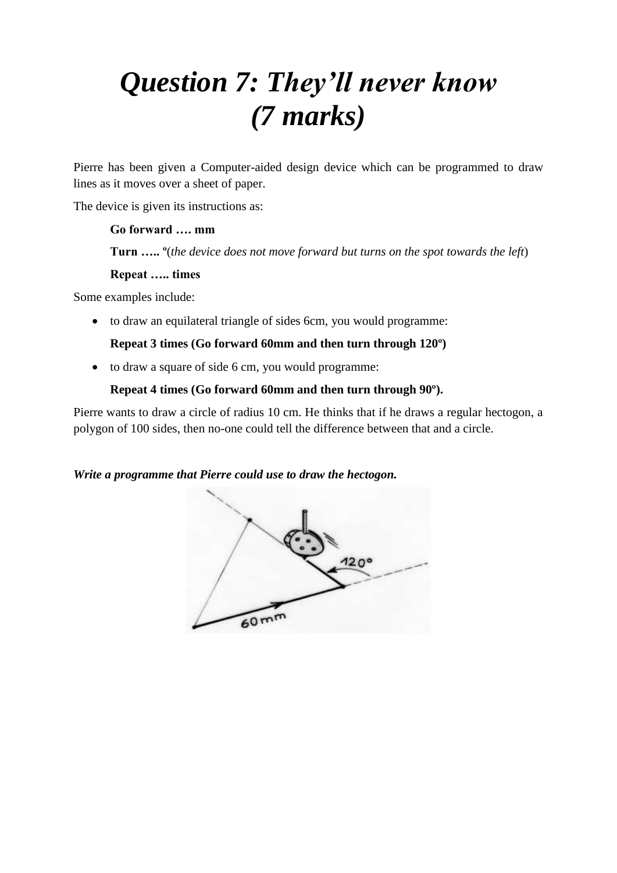## *Question 7: They'll never know (7 marks)*

Pierre has been given a Computer-aided design device which can be programmed to draw lines as it moves over a sheet of paper.

The device is given its instructions as:

#### **Go forward …. mm**

**Turn ….. º**(*the device does not move forward but turns on the spot towards the left*)

#### **Repeat ….. times**

Some examples include:

to draw an equilateral triangle of sides 6cm, you would programme:

#### **Repeat 3 times (Go forward 60mm and then turn through 120º)**

to draw a square of side 6 cm, you would programme:

#### **Repeat 4 times (Go forward 60mm and then turn through 90º).**

Pierre wants to draw a circle of radius 10 cm. He thinks that if he draws a regular hectogon, a polygon of 100 sides, then no-one could tell the difference between that and a circle.

#### *Write a programme that Pierre could use to draw the hectogon.*

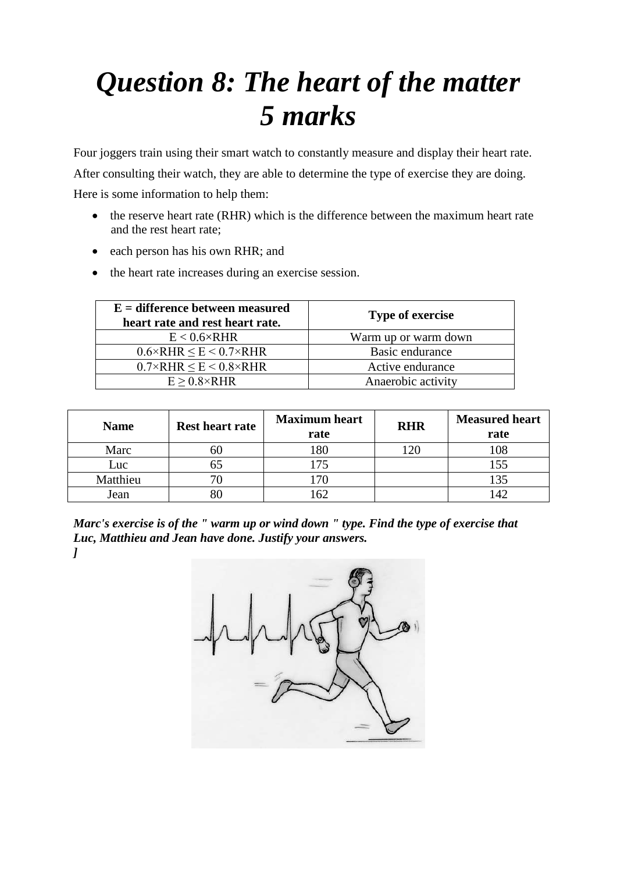### *Question 8: The heart of the matter 5 marks*

Four joggers train using their smart watch to constantly measure and display their heart rate. After consulting their watch, they are able to determine the type of exercise they are doing. Here is some information to help them:

- the reserve heart rate (RHR) which is the difference between the maximum heart rate and the rest heart rate;
- each person has his own RHR; and
- the heart rate increases during an exercise session.

| $E =$ difference between measured<br>heart rate and rest heart rate. | <b>Type of exercise</b> |  |
|----------------------------------------------------------------------|-------------------------|--|
| $E < 0.6 \times RHR$                                                 | Warm up or warm down    |  |
| $0.6 \times$ RHR $\le E \le 0.7 \times$ RHR                          | Basic endurance         |  |
| $0.7 \times$ RHR $\le E \le 0.8 \times$ RHR                          | Active endurance        |  |
| $E > 0.8 \times RHR$                                                 | Anaerobic activity      |  |

| <b>Name</b> | <b>Rest heart rate</b> | <b>Maximum</b> heart<br>rate | <b>RHR</b> | <b>Measured heart</b><br>rate |
|-------------|------------------------|------------------------------|------------|-------------------------------|
| Marc        |                        |                              |            | 108                           |
| Luc         |                        |                              |            | 155                           |
| Matthieu    |                        |                              |            | 135                           |
| Jean        |                        |                              |            |                               |

*Marc's exercise is of the " warm up or wind down " type. Find the type of exercise that Luc, Matthieu and Jean have done. Justify your answers. ]*

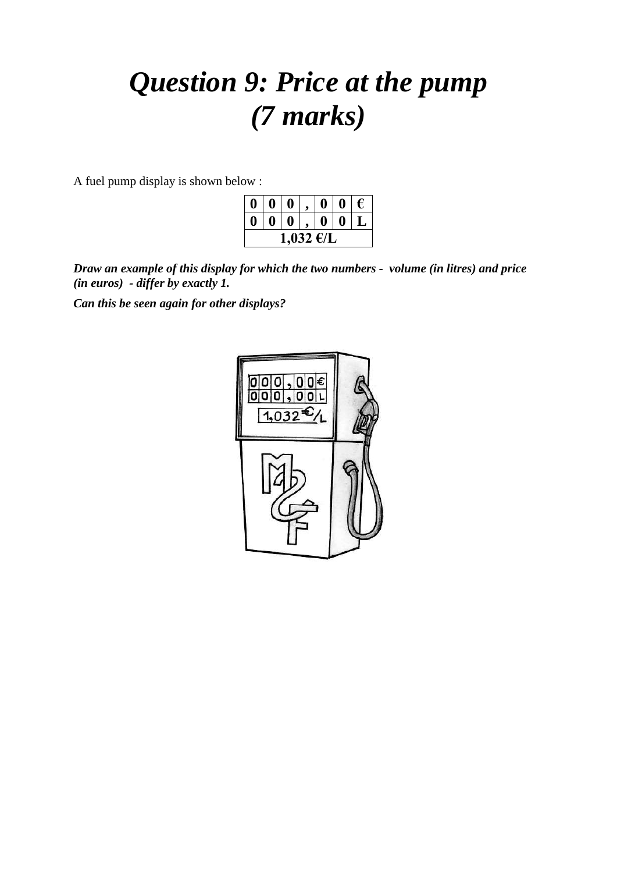### *Question 9: Price at the pump (7 marks)*

A fuel pump display is shown below :

| Ŋ         |  | $\mathbf{0}$ |  |   | $\mathbf{0}$ | $\epsilon$ |  |
|-----------|--|--------------|--|---|--------------|------------|--|
| ı         |  | 0            |  | 0 |              |            |  |
| 1,032 €/L |  |              |  |   |              |            |  |

*Draw an example of this display for which the two numbers - volume (in litres) and price (in euros) - differ by exactly 1.*

*Can this be seen again for other displays?* 

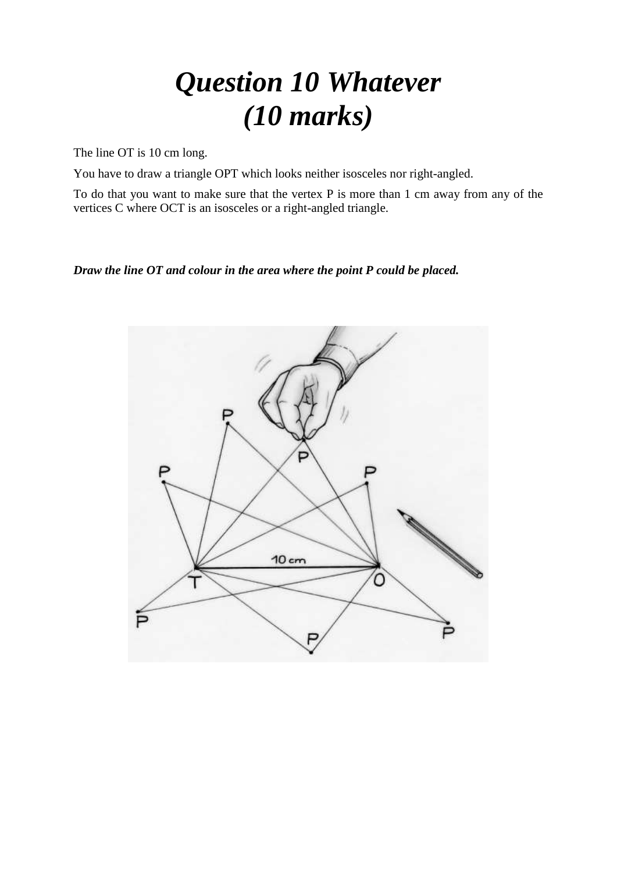### *Question 10 Whatever (10 marks)*

The line OT is 10 cm long.

You have to draw a triangle OPT which looks neither isosceles nor right-angled.

To do that you want to make sure that the vertex P is more than 1 cm away from any of the vertices C where OCT is an isosceles or a right-angled triangle.

#### *Draw the line OT and colour in the area where the point P could be placed.*

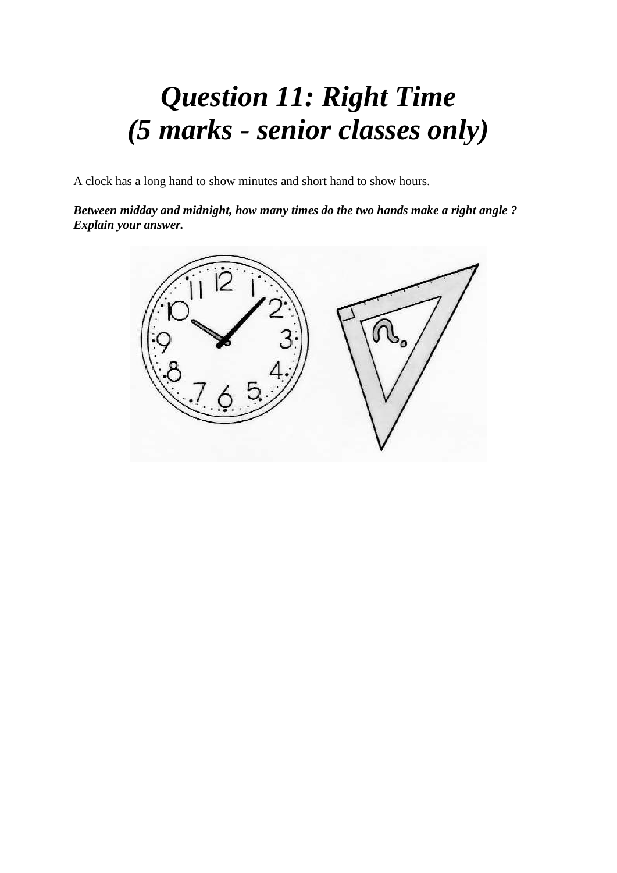### *Question 11: Right Time (5 marks - senior classes only)*

A clock has a long hand to show minutes and short hand to show hours.

*Between midday and midnight, how many times do the two hands make a right angle ? Explain your answer.*

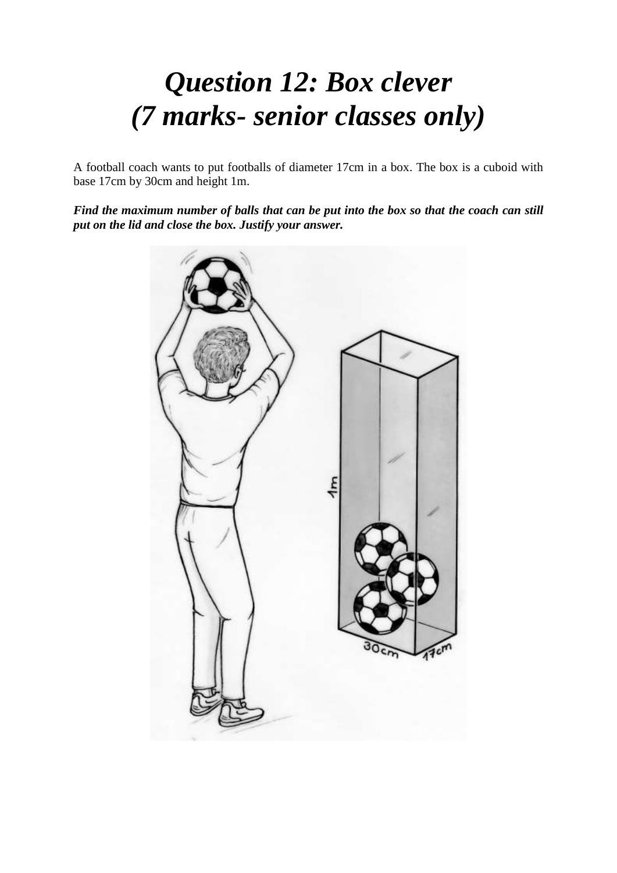### *Question 12: Box clever (7 marks- senior classes only)*

A football coach wants to put footballs of diameter 17cm in a box. The box is a cuboid with base 17cm by 30cm and height 1m.

*Find the maximum number of balls that can be put into the box so that the coach can still put on the lid and close the box. Justify your answer.*

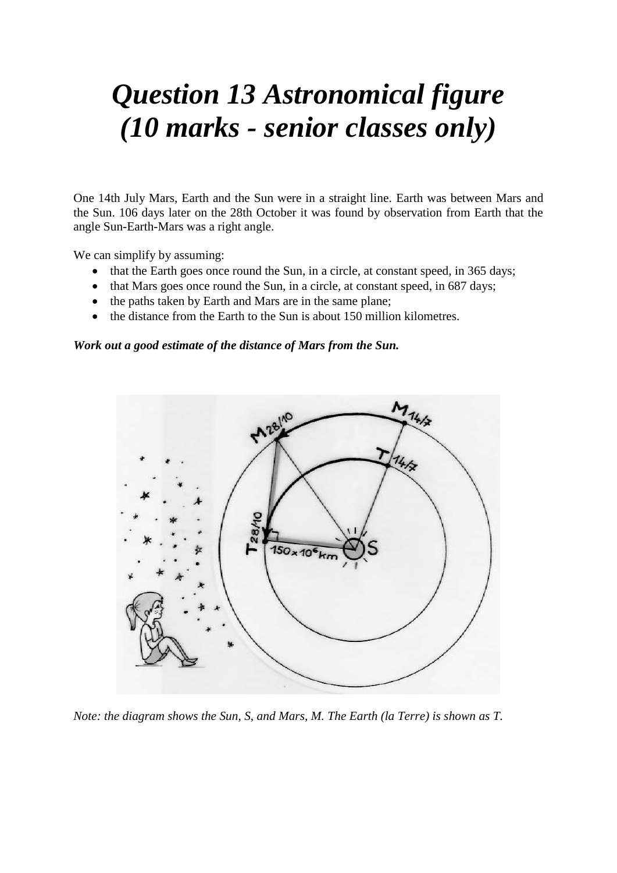### *Question 13 Astronomical figure (10 marks - senior classes only)*

One 14th July Mars, Earth and the Sun were in a straight line. Earth was between Mars and the Sun. 106 days later on the 28th October it was found by observation from Earth that the angle Sun-Earth-Mars was a right angle.

We can simplify by assuming:

- that the Earth goes once round the Sun, in a circle, at constant speed, in 365 days;
- that Mars goes once round the Sun, in a circle, at constant speed, in 687 days;
- the paths taken by Earth and Mars are in the same plane;
- the distance from the Earth to the Sun is about 150 million kilometres.

#### *Work out a good estimate of the distance of Mars from the Sun.*



*Note: the diagram shows the Sun, S, and Mars, M. The Earth (la Terre) is shown as T.*